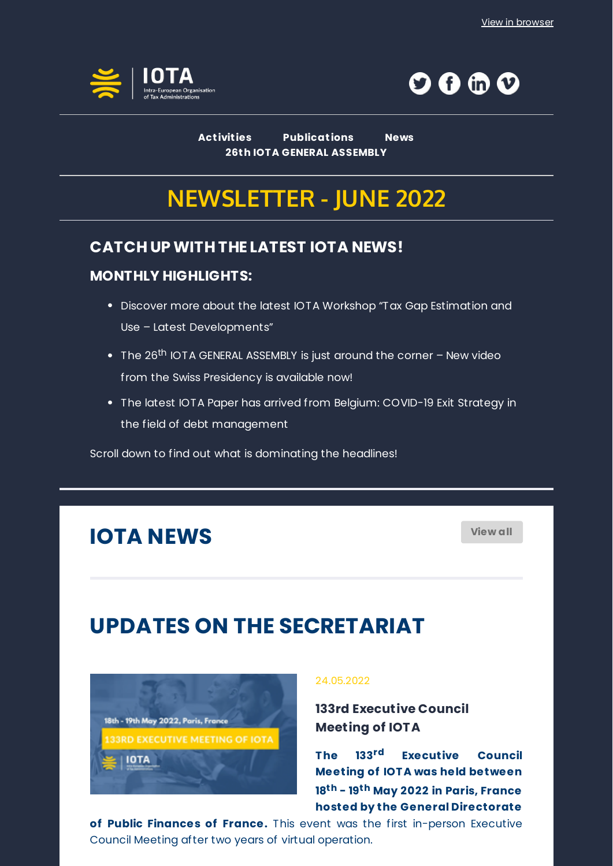



**[Act ivit ies](https://www.iota-tax.org/events/upcoming-events) [Publicat ions](https://www.iota-tax.org/our-products) [News](https://www.iota-tax.org/news) [26t h IOTA GENERAL ASSEMBLY](https://www.iota-tax.org/event/26th-general-assembly-iota)**

# **NEWSLETTER - JUNE 2022**

## **CATCH UP WITH THE LATEST IOTA NEWS!**

### **MONTHLY HIGHLIGHTS:**

- Discover more about the latest IOTA Workshop "Tax Gap Estimation and Use – Latest Developments"
- The 26<sup>th</sup> IOTA GENERAL ASSEMBLY is just around the corner New video from the Swiss Presidency is available now!
- The latest IOTA Paper has arrived from Belgium: COVID-19 Exit Strategy in the field of debt management

Scroll down to find out what is dominating the headlines!

# **IOTA NEWS [View all](https://www.iota-tax.org/news)**

# **UPDATES ON THE SECRETARIAT**



### 24.05.2022

**[133rd Executive Council](https://www.iota-tax.org/news/133rd-iota-executive-council-meeting-iota) Meeting of IOTA**

**The 133rd Executive Council Meeting of IOT A was held between 18th - 19th May 2022 in Paris, France hosted by the General Directorate**

**of Public Finances of France.** This event was the first in-person Executive Council Meeting after two years of virtual operation.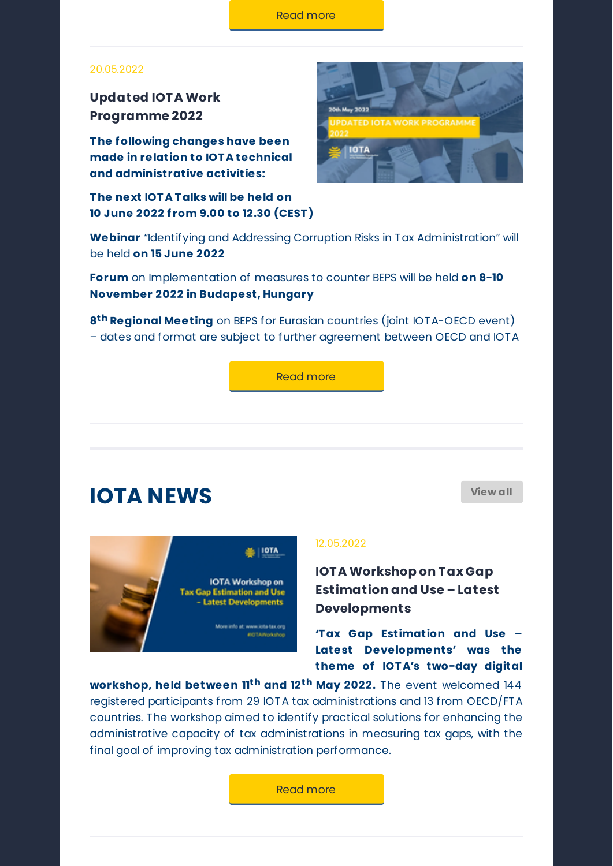#### 20.05.2022

**[Updated IOTA Work](https://www.iota-tax.org/sites/default/files/downloadable_versions/work_programme/2022/work_programme_2022_-_activity_calendar_20_05_2022.pdf) Programme 2022**

**T he following changes have been made in relation to IOT A technical and administrative activities:**

**T he next IOT A T alks will be held on 10 June 2022 f rom 9.00 to 12.30 (CEST )**



**Webinar** "Identifying and Addressing Corruption Risks in Tax Administration" will be held **on 15 June 2022**

**Forum** on Implementation of measures to counter BEPS will be held **on 8-10 November 2022 in Budapest, Hungary**

**8th Regional Meeting** on BEPS for Eurasian countries (joint IOTA-OECD event) – dates and format are subject to further agreement between OECD and IOTA

[Read more](https://www.iota-tax.org/sites/default/files/downloadable_versions/work_programme/2022/work_programme_2022_-_activity_calendar_20_05_2022.pdf)

# **IOTA NEWS [View all](https://www.iota-tax.org/news)**



#### 12.05.2022

**IOTA Workshop on Tax Gap [Estimation and Use – Latest](https://www.iota-tax.org/news/iota-workshop-tax-gap-estimation-and-use-latest-developments) Developments**

**'T ax Gap Estimation and Use – Latest Developments' was the theme of IOT A's two-day digital**

**workshop, held between 11th and 12th May 2022.** The event welcomed 144 registered participants from 29 IOTA tax administrations and 13 from OECD/FTA countries. The workshop aimed to identify practical solutions for enhancing the administrative capacity of tax administrations in measuring tax gaps, with the final goal of improving tax administration performance.

[Read more](https://www.iota-tax.org/news/iota-workshop-tax-gap-estimation-and-use-latest-developments)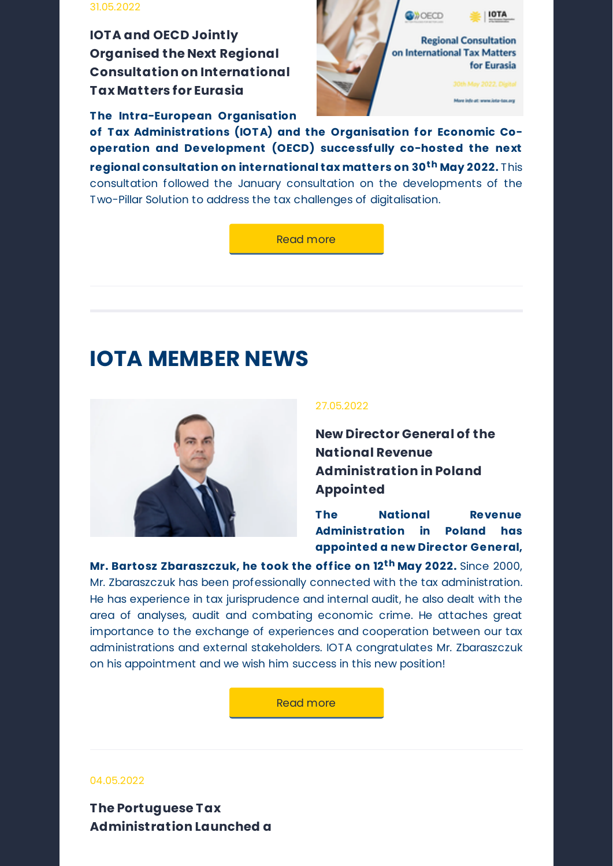### 31.05.2022

**IOTA and OECD Jointly Organised the Next Regional [Consultation on International](https://www.iota-tax.org/news/iota-and-oecd-jointly-organised-next-regional-consultation-international-tax-matters-eurasia) Tax Matters for Eurasia**

**The Intra-European Organisation**



**of T ax Administrations (IOT A) and the Organisation for Economic Cooperation and Development (OECD) successfully co-hosted the next regional consultation on international tax matters on 30th May 2022.** This consultation followed the January consultation on the developments of the Two-Pillar Solution to address the tax challenges of digitalisation.

[Read more](https://www.iota-tax.org/news/iota-and-oecd-jointly-organised-next-regional-consultation-international-tax-matters-eurasia)

# **IOTA MEMBER NEWS**



### 27.05.2022

**[New Director General of the](https://www.iota-tax.org/news/new-director-general-national-revenue-administration-poland-appointed) National Revenue Administration in Poland Appointed**

**The National Revenue Administration in Poland has appointed a new Director General,**

**Mr. Bartosz Zbaraszczuk, he took the office on 12th May 2022.** Since 2000, Mr. Zbaraszczuk has been professionally connected with the tax administration. He has experience in tax jurisprudence and internal audit, he also dealt with the area of analyses, audit and combating economic crime. He attaches great importance to the exchange of experiences and cooperation between our tax administrations and external stakeholders. IOTA congratulates Mr. Zbaraszczuk on his appointment and we wish him success in this new position!

[Read more](https://www.iota-tax.org/news/new-director-general-national-revenue-administration-poland-appointed)

#### 04.05.2022

**The Portuguese Tax [Administration Launched a](https://www.iota-tax.org/news/portuguese-tax-administration-has-made-available-app-self-employed-taxpayers)**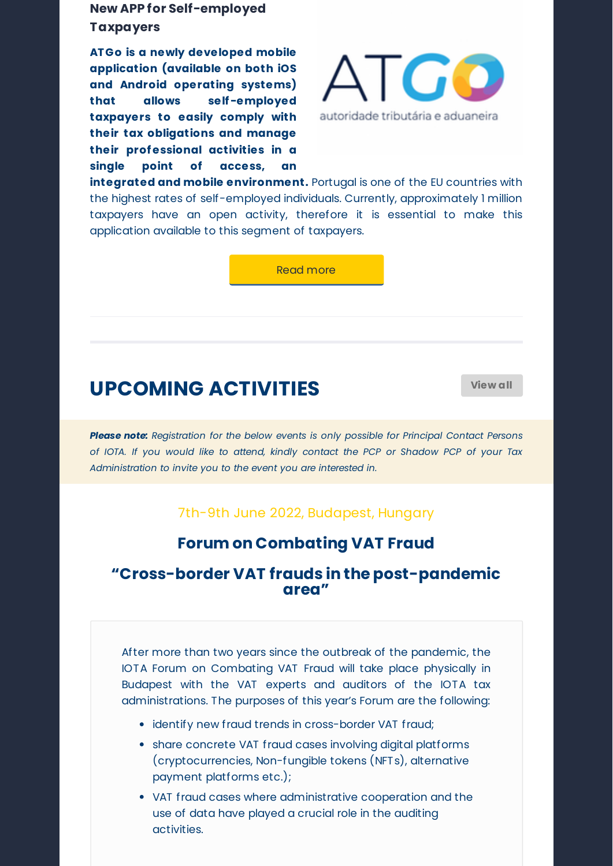## **[New APP for Self-employed](https://www.iota-tax.org/news/portuguese-tax-administration-has-made-available-app-self-employed-taxpayers) Taxpayers**

**AT Go is a newly developed mobile application (available on both iOS and Android operating systems) that allows self-employed taxpayers to easily comply with their tax obligations and manage their professional activities in a single point of access, an**



**integrated and mobile environment.** Portugal is one of the EU countries with the highest rates of self-employed individuals. Currently, approximately 1 million taxpayers have an open activity, therefore it is essential to make this application available to this segment of taxpayers.

[Read more](https://www.iota-tax.org/news/portuguese-tax-administration-has-made-available-app-self-employed-taxpayers)

# **UPCOMING ACTIVITIES [View all](https://www.iota-tax.org/events/upcoming-events)**

*Please note: Registration for the below events is only possible for Principal Contact Persons of IOTA. If you would like to attend, kindly contact the PCP or Shadow PCP of your Tax Administration to invite you to the event you are interested in.*

### 7th-9th June 2022, Budapest, Hungary

## **[Forum on Combating VAT Fraud](https://www.iota-tax.org/event/forum-combating-vat-fraud-0)**

## **"Cross-border VAT frauds in the post-pandemic area"**

After more than two years since the outbreak of the pandemic, the IOTA Forum on Combating VAT Fraud will take place physically in Budapest with the VAT experts and auditors of the IOTA tax administrations. The purposes of this year's Forum are the following:

- identify new fraud trends in cross-border VAT fraud;
- share concrete VAT fraud cases involving digital platforms (cryptocurrencies, Non-fungible tokens (NFTs), alternative payment platforms etc.);
- VAT fraud cases where administrative cooperation and the use of data have played a crucial role in the auditing activities.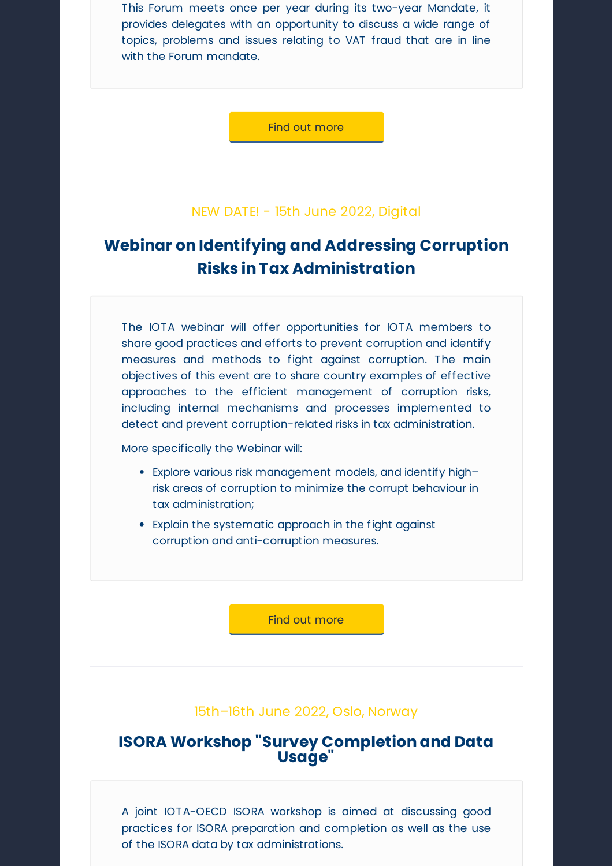This Forum meets once per year during its two-year Mandate, it provides delegates with an opportunity to discuss a wide range of topics, problems and issues relating to VAT fraud that are in line with the Forum mandate.

[Find out more](https://www.iota-tax.org/event/forum-combating-vat-fraud-0)

### NEW DATE! - 15th June 2022, Digital

# **[Webinar on Identifying and Addressing Corruption](https://www.iota-tax.org/event/webinar-identifying-and-addressing-corruption-risks-tax-administration) Risks in Tax Administration**

The IOTA webinar will offer opportunities for IOTA members to share good practices and efforts to prevent corruption and identify measures and methods to fight against corruption. The main objectives of this event are to share country examples of effective approaches to the efficient management of corruption risks, including internal mechanisms and processes implemented to detect and prevent corruption-related risks in tax administration.

More specifically the Webinar will:

- Explore various risk management models, and identify high– risk areas of corruption to minimize the corrupt behaviour in tax administration;
- Explain the systematic approach in the fight against corruption and anti-corruption measures.

[Find out more](https://www.iota-tax.org/event/webinar-identifying-and-addressing-corruption-risks-tax-administration)

### 15th–16th June 2022, Oslo, Norway

### **[ISORA Workshop "Survey Completion and Data](https://www.iota-tax.org/event/isora-workshop-survey-completion-and-data-usage) Usage"**

A joint IOTA-OECD ISORA workshop is aimed at discussing good practices for ISORA preparation and completion as well as the use of the ISORA data by tax administrations.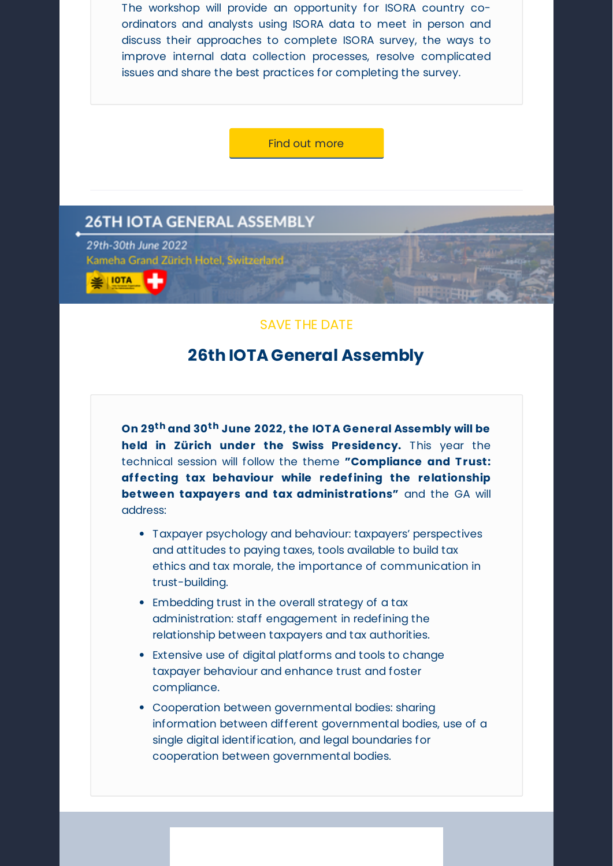The workshop will provide an opportunity for ISORA country coordinators and analysts using ISORA data to meet in person and discuss their approaches to complete ISORA survey, the ways to improve internal data collection processes, resolve complicated issues and share the best practices for completing the survey.

[Find out more](https://www.iota-tax.org/event/isora-workshop-survey-completion-and-data-usage)

### **26TH IOTA GENERAL ASSEMBLY**

29th-30th June 2022 Kameha Grand Zürich Hotel, Switzerland

**兰 IOTA** 

### SAVE THE DATE

### **[26th IOTA General Assembly](https://www.iota-tax.org/event/26th-general-assembly-iota)**

**On 29th and 30th June 2022, the IOT A General Assembly will be held in Zürich under the Swiss Presidency.** This year the technical session will follow the theme **"Compliance and T rust: affecting tax behaviour while redefining the relationship between taxpayers and tax administrations"** and the GA will address:

- Taxpayer psychology and behaviour: taxpayers' perspectives and attitudes to paying taxes, tools available to build tax ethics and tax morale, the importance of communication in trust-building.
- Embedding trust in the overall strategy of a tax administration: staff engagement in redefining the relationship between taxpayers and tax authorities.
- Extensive use of digital platforms and tools to change taxpayer behaviour and enhance trust and foster compliance.
- Cooperation between governmental bodies: sharing information between different governmental bodies, use of a single digital identification, and legal boundaries for cooperation between governmental bodies.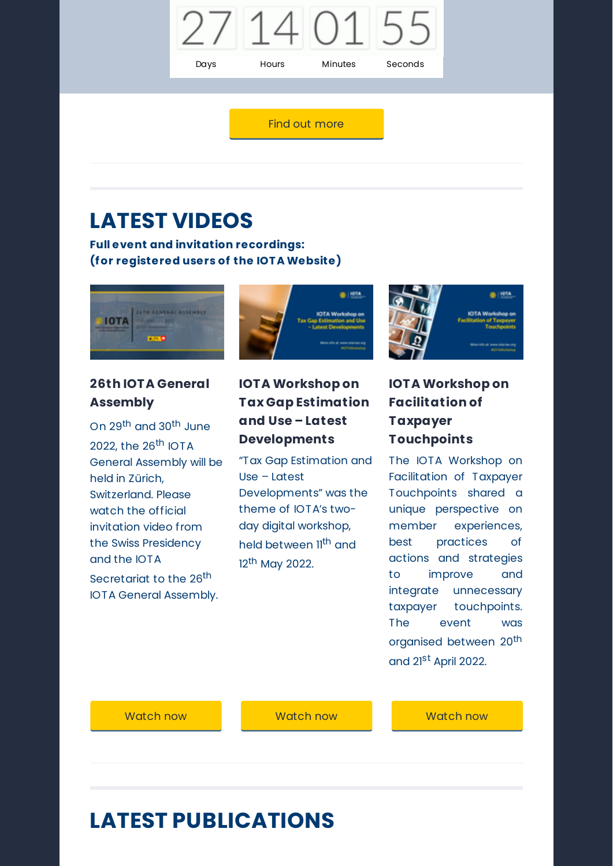

### [Find out more](https://www.iota-tax.org/event/26th-general-assembly-iota)

# **LATEST VIDEOS**

**Full event and invitation recordings: (for registered users of the IOT A Website)**



### **26th IOTA General Assembly**

On 29th and 30th June 2022, the 26<sup>th</sup> IOTA General Assembly will be held in Zürich, Switzerland. Please watch the official invitation video from the Swiss Presidency and the IOTA Secretariat to the 26<sup>th</sup> IOTA General Assembly.



## **IOTA Workshop on Tax Gap Estimation and Use – Latest Developments**

"Tax Gap Estimation and Use – Latest Developments" was the theme of IOTA's twoday digital workshop, held between 11<sup>th</sup> and 12<sup>th</sup> May 2022.



## **IOTA Workshop on Facilitation of Taxpayer Touchpoints**

The IOTA Workshop on Facilitation of Taxpayer Touchpoints shared a unique perspective on member experiences, best practices of actions and strategies to improve and integrate unnecessary taxpayer touchpoints. The event was organised between 20<sup>th</sup> and 21<sup>st</sup> April 2022.

[Watch now](https://www.iota-tax.org/event/26th-general-assembly-iota) [Watch now](https://www.iota-tax.org/event/workshop-tax-gap-estimation-and-use-latest-developments) [Watch now](https://www.iota-tax.org/news/iota-workshop-facilitation-taxpayer-touchpoints)

# **LATEST PUBLICATIONS**